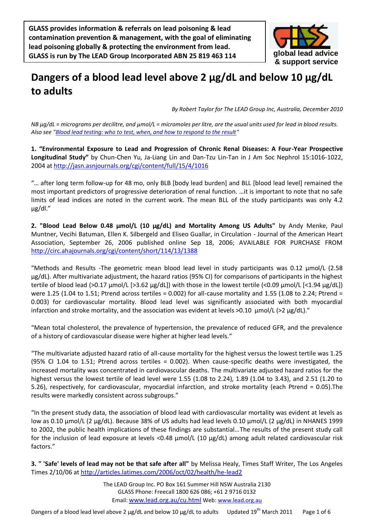**GLASS provides information & referrals on lead poisoning & lead contamination prevention & management, with the goal of eliminating lead poisoning globally & protecting the environment from lead. GLASS is run by The LEAD Group Incorporated ABN 25 819 463 114**



## **Dangers of a blood lead level above 2 µg/dL and below 10 µg/dL to adults**

*By Robert Taylor for The LEAD Group Inc, Australia, December 2010*

*NB µg/dL = micrograms per decilitre, and µmol/L = micromoles per litre, are the usual units used for lead in blood results. Also see ["Blood lead testing: who to test, when, and how to respond to the result"](http://www.lead.org.au/fs/fst46.html)* 

**1. "Environmental Exposure to Lead and Progression of Chronic Renal Diseases: A Four-Year Prospective Longitudinal Study"** by Chun-Chen Yu, Ja-Liang Lin and Dan-Tzu Lin-Tan in J Am Soc Nephrol 15:1016-1022, 2004 at<http://jasn.asnjournals.org/cgi/content/full/15/4/1016>

"… after long term follow-up for 48 mo, only BLB [body lead burden] and BLL [blood lead level] remained the most important predictors of progressive deterioration of renal function. …it is important to note that no safe limits of lead indices are noted in the current work. The mean BLL of the study participants was only 4.2 µg/dl."

**2. "Blood Lead Below 0.48 µmol/L (10 µg/dL) and Mortality Among US Adults"** by Andy Menke, Paul Muntner, Vecihi Batuman, Ellen K. Silbergeld and Eliseo Guallar, in Circulation - Journal of the American Heart Association, September 26, 2006 published online Sep 18, 2006; AVAILABLE FOR PURCHASE FROM <http://circ.ahajournals.org/cgi/content/short/114/13/1388>

"Methods and Results -The geometric mean blood lead level in study participants was 0.12 µmol/L (2.58 µg/dL). After multivariate adjustment, the hazard ratios (95% CI) for comparisons of participants in the highest tertile of blood lead (>0.17 µmol/L [>3.62 µg/dL]) with those in the lowest tertile (<0.09 µmol/L [<1.94 µg/dL]) were 1.25 (1.04 to 1.51; Ptrend across tertiles = 0.002) for all-cause mortality and 1.55 (1.08 to 2.24; Ptrend = 0.003) for cardiovascular mortality. Blood lead level was significantly associated with both myocardial infarction and stroke mortality, and the association was evident at levels  $>0.10 \mu$ mol/L ( $>2 \mu$ g/dL)."

"Mean total cholesterol, the prevalence of hypertension, the prevalence of reduced GFR, and the prevalence of a history of cardiovascular disease were higher at higher lead levels."

"The multivariate adjusted hazard ratio of all-cause mortality for the highest versus the lowest tertile was 1.25 (95% CI 1.04 to 1.51; Ptrend across tertiles = 0.002). When cause-specific deaths were investigated, the increased mortality was concentrated in cardiovascular deaths. The multivariate adjusted hazard ratios for the highest versus the lowest tertile of lead level were 1.55 (1.08 to 2.24), 1.89 (1.04 to 3.43), and 2.51 (1.20 to 5.26), respectively, for cardiovascular, myocardial infarction, and stroke mortality (each Ptrend = 0.05).The results were markedly consistent across subgroups."

"In the present study data, the association of blood lead with cardiovascular mortality was evident at levels as low as 0.10 µmol/L (2 µg/dL). Because 38% of US adults had lead levels 0.10 µmol/L (2 µg/dL) in NHANES 1999 to 2002, the public health implications of these findings are substantial…The results of the present study call for the inclusion of lead exposure at levels <0.48 µmol/L (10 µg/dL) among adult related cardiovascular risk factors."

**3. " 'Safe' levels of lead may not be that safe after all"** by Melissa Healy, Times Staff Writer, The Los Angeles Times 2/10/06 at<http://articles.latimes.com/2006/oct/02/health/he-lead2>

> The LEAD Group Inc. PO Box 161 Summer Hill NSW Australia 2130 GLASS Phone: Freecall 1800 626 086; +61 2 9716 0132 Email: [www.lead.org.au/cu.html](http://www.lead.org.au/cu.html) Web: [www.lead.org.au](http://www.lead.org.au/)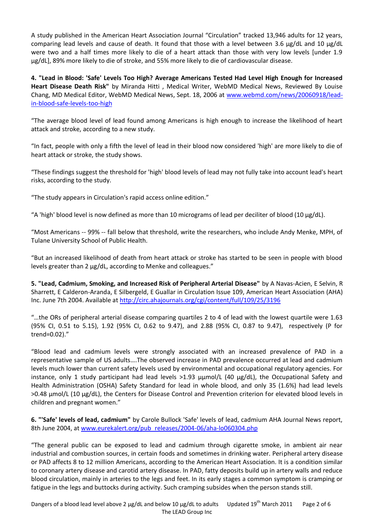A study published in the American Heart Association Journal "Circulation" tracked 13,946 adults for 12 years, comparing lead levels and cause of death. It found that those with a level between 3.6 µg/dL and 10 µg/dL were two and a half times more likely to die of a heart attack than those with very low levels [under 1.9 µg/dL], 89% more likely to die of stroke, and 55% more likely to die of cardiovascular disease.

**4. "Lead in Blood: 'Safe' Levels Too High? Average Americans Tested Had Level High Enough for Increased Heart Disease Death Risk"** by Miranda Hitti , Medical Writer, WebMD Medical News, Reviewed By Louise Chang, MD Medical Editor, WebMD Medical News, Sept. 18, 2006 at [www.webmd.com/news/20060918/lead](http://www.webmd.com/news/20060918/lead-in-blood-safe-levels-too-high)[in-blood-safe-levels-too-high](http://www.webmd.com/news/20060918/lead-in-blood-safe-levels-too-high)

"The average blood level of lead found among Americans is high enough to increase the likelihood of heart attack and stroke, according to a new study.

"In fact, people with only a fifth the level of lead in their blood now considered 'high' are more likely to die of heart attack or stroke, the study shows.

"These findings suggest the threshold for 'high' blood levels of lead may not fully take into account lead's heart risks, according to the study.

"The study appears in Circulation's rapid access online edition."

"A 'high' blood level is now defined as more than 10 micrograms of lead per deciliter of blood (10 µg/dL).

"Most Americans -- 99% -- fall below that threshold, write the researchers, who include Andy Menke, MPH, of Tulane University School of Public Health.

"But an increased likelihood of death from heart attack or stroke has started to be seen in people with blood levels greater than 2 µg/dL, according to Menke and colleagues."

**5. "Lead, Cadmium, Smoking, and Increased Risk of Peripheral Arterial Disease"** by A Navas-Acien, E Selvin, R Sharrett, E Calderon-Aranda, E Silbergeld, E Guallar in Circulation Issue 109, American Heart Association (AHA) Inc. June 7th 2004. Available at<http://circ.ahajournals.org/cgi/content/full/109/25/3196>

"…the ORs of peripheral arterial disease comparing quartiles 2 to 4 of lead with the lowest quartile were 1.63 (95% CI, 0.51 to 5.15), 1.92 (95% CI, 0.62 to 9.47), and 2.88 (95% CI, 0.87 to 9.47), respectively (P for trend=0.02)."

"Blood lead and cadmium levels were strongly associated with an increased prevalence of PAD in a representative sample of US adults….The observed increase in PAD prevalence occurred at lead and cadmium levels much lower than current safety levels used by environmental and occupational regulatory agencies. For instance, only 1 study participant had lead levels  $>1.93$   $\mu$ umol/L (40  $\mu$ g/dL), the Occupational Safety and Health Administration (OSHA) Safety Standard for lead in whole blood, and only 35 (1.6%) had lead levels >0.48 µmol/L (10 µg/dL), the Centers for Disease Control and Prevention criterion for elevated blood levels in children and pregnant women."

**6. "'Safe' levels of lead, cadmium"** by Carole Bullock 'Safe' levels of lead, cadmium AHA Journal News report, 8th June 2004, at [www.eurekalert.org/pub\\_releases/2004-06/aha-lo060304.php](http://www.eurekalert.org/pub_releases/2004-06/aha-lo060304.php)

"The general public can be exposed to lead and cadmium through cigarette smoke, in ambient air near industrial and combustion sources, in certain foods and sometimes in drinking water. Peripheral artery disease or PAD affects 8 to 12 million Americans, according to the American Heart Association. It is a condition similar to coronary artery disease and carotid artery disease. In PAD, fatty deposits build up in artery walls and reduce blood circulation, mainly in arteries to the legs and feet. In its early stages a common symptom is cramping or fatigue in the legs and buttocks during activity. Such cramping subsides when the person stands still.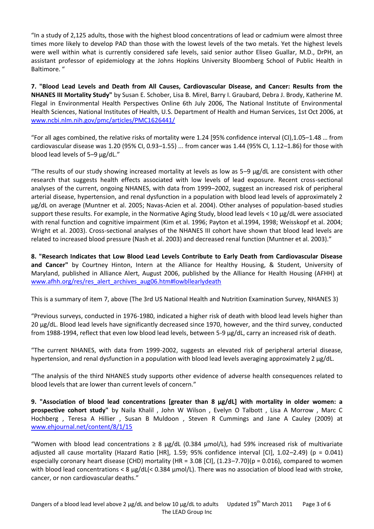"In a study of 2,125 adults, those with the highest blood concentrations of lead or cadmium were almost three times more likely to develop PAD than those with the lowest levels of the two metals. Yet the highest levels were well within what is currently considered safe levels, said senior author Eliseo Guallar, M.D., DrPH, an assistant professor of epidemiology at the Johns Hopkins University Bloomberg School of Public Health in Baltimore. "

**7. "Blood Lead Levels and Death from All Causes, Cardiovascular Disease, and Cancer: Results from the NHANES III Mortality Study"** by Susan E. Schober, Lisa B. Mirel, Barry I. Graubard, Debra J. Brody, Katherine M. Flegal in Environmental Health Perspectives Online 6th July 2006, The National Institute of Environmental Health Sciences, National Institutes of Health, U.S. Department of Health and Human Services, 1st Oct 2006, at [www.ncbi.nlm.nih.gov/pmc/articles/PMC1626441/](http://www.ncbi.nlm.nih.gov/pmc/articles/PMC1626441/)

"For all ages combined, the relative risks of mortality were  $1.24$  [95% confidence interval (CI),1.05–1.48 ... from cardiovascular disease was 1.20 (95% CI, 0.93–1.55) ... from cancer was 1.44 (95% CI, 1.12–1.86) for those with blood lead levels of 5–9 μg/dL."

"The results of our study showing increased mortality at levels as low as 5–9 μg/dL are consistent with other research that suggests health effects associated with low levels of lead exposure. Recent cross-sectional analyses of the current, ongoing NHANES, with data from 1999–2002, suggest an increased risk of peripheral arterial disease, hypertension, and renal dysfunction in a population with blood lead levels of approximately 2 μg/dL on average (Muntner et al. 2005; Navas-Acien et al. 2004). Other analyses of population-based studies support these results. For example, in the Normative Aging Study, blood lead levels < 10 μg/dL were associated with renal function and cognitive impairment (Kim et al. 1996; Payton et al.1994, 1998; Weisskopf et al. 2004; Wright et al. 2003). Cross-sectional analyses of the NHANES III cohort have shown that blood lead levels are related to increased blood pressure (Nash et al. 2003) and decreased renal function (Muntner et al. 2003)."

**8. "Research Indicates that Low Blood Lead Levels Contribute to Early Death from Cardiovascular Disease and Cancer"** by Courtney Hinton, Intern at the Alliance for Healthy Housing, & Student, University of Maryland, published in Alliance Alert, August 2006, published by the Alliance for Health Housing (AFHH) at [www.afhh.org/res/res\\_alert\\_archives\\_aug06.htm#lowbllearlydeath](http://www.afhh.org/res/res_alert_archives_aug06.htm#lowbllearlydeath)

This is a summary of item 7, above (The 3rd US National Health and Nutrition Examination Survey, NHANES 3)

"Previous surveys, conducted in 1976-1980, indicated a higher risk of death with blood lead levels higher than 20 µg/dL. Blood lead levels have significantly decreased since 1970, however, and the third survey, conducted from 1988-1994, reflect that even low blood lead levels, between 5-9 µg/dL, carry an increased risk of death.

"The current NHANES, with data from 1999-2002, suggests an elevated risk of peripheral arterial disease, hypertension, and renal dysfunction in a population with blood lead levels averaging approximately 2  $\mu$ g/dL.

"The analysis of the third NHANES study supports other evidence of adverse health consequences related to blood levels that are lower than current levels of concern."

**9. "Association of blood lead concentrations [greater than 8 µg/dL] with mortality in older women: a prospective cohort study"** by Naila Khalil , John W Wilson , Evelyn O Talbott , Lisa A Morrow , Marc C Hochberg , Teresa A Hillier , Susan B Muldoon , Steven R Cummings and Jane A Cauley (2009) at [www.ehjournal.net/content/8/1/15](http://www.ehjournal.net/content/8/1/15)

"Women with blood lead concentrations  $\geq 8$  µg/dL (0.384 µmol/L), had 59% increased risk of multivariate adjusted all cause mortality (Hazard Ratio [HR], 1.59; 95% confidence interval [CI], 1.02–2.49) (p = 0.041) especially coronary heart disease (CHD) mortality (HR = 3.08 [CI], (1.23–7.70)(p = 0.016), compared to women with blood lead concentrations < 8 μg/dL(< 0.384 μmol/L). There was no association of blood lead with stroke, cancer, or non cardiovascular deaths."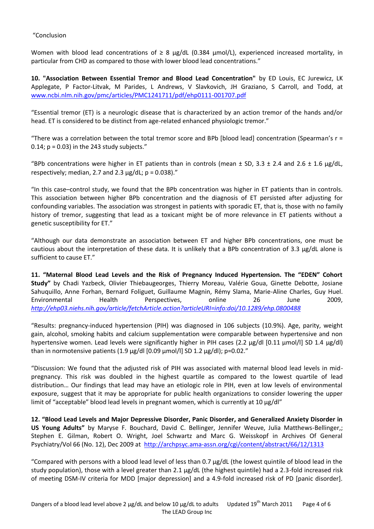## "Conclusion

Women with blood lead concentrations of  $\geq 8$  µg/dL (0.384 µmol/L), experienced increased mortality, in particular from CHD as compared to those with lower blood lead concentrations."

**10. "Association Between Essential Tremor and Blood Lead Concentration"** by ED Louis, EC Jurewicz, LK Applegate, P Factor-Litvak, M Parides, L Andrews, V Slavkovich, JH Graziano, S Carroll, and Todd, at [www.ncbi.nlm.nih.gov/pmc/articles/PMC1241711/pdf/ehp0111-001707.pdf](http://www.ncbi.nlm.nih.gov/pmc/articles/PMC1241711/pdf/ehp0111-001707.pdf)

"Essential tremor (ET) is a neurologic disease that is characterized by an action tremor of the hands and/or head. ET is considered to be distinct from age-related enhanced physiologic tremor."

"There was a correlation between the total tremor score and BPb [blood lead] concentration (Spearman's  $r =$ 0.14;  $p = 0.03$ ) in the 243 study subjects."

"BPb concentrations were higher in ET patients than in controls (mean  $\pm$  SD, 3.3  $\pm$  2.4 and 2.6  $\pm$  1.6  $\mu$ g/dL, respectively; median, 2.7 and 2.3  $\mu$ g/dL; p = 0.038)."

"In this case–control study, we found that the BPb concentration was higher in ET patients than in controls. This association between higher BPb concentration and the diagnosis of ET persisted after adjusting for confounding variables. The association was strongest in patients with sporadic ET, that is, those with no family history of tremor, suggesting that lead as a toxicant might be of more relevance in ET patients without a genetic susceptibility for ET."

"Although our data demonstrate an association between ET and higher BPb concentrations, one must be cautious about the interpretation of these data. It is unlikely that a BPb concentration of 3.3 µg/dL alone is sufficient to cause ET."

**11. "Maternal Blood Lead Levels and the Risk of Pregnancy Induced Hypertension. The "EDEN" Cohort Study"** by Chadi Yazbeck, Olivier Thiebaugeorges, Thierry Moreau, Valérie Goua, Ginette Debotte, Josiane Sahuquillo, Anne Forhan, Bernard Foliguet, Guillaume Magnin, Rémy Slama, Marie-Aline Charles, Guy Huel. Environmental Health Perspectives, online 26 June 2009, *<http://ehp03.niehs.nih.gov/article/fetchArticle.action?articleURI=info:doi/10.1289/ehp.0800488>*

"Results: pregnancy-induced hypertension (PIH) was diagnosed in 106 subjects (10.9%). Age, parity, weight gain, alcohol, smoking habits and calcium supplementation were comparable between hypertensive and non hypertensive women. Lead levels were significantly higher in PIH cases (2.2 µg/dl [0.11 µmol/l] SD 1.4 µg/dl) than in normotensive patients (1.9  $\mu$ g/dl [0.09  $\mu$ mol/l] SD 1.2  $\mu$ g/dl); p=0.02."

"Discussion: We found that the adjusted risk of PIH was associated with maternal blood lead levels in midpregnancy. This risk was doubled in the highest quartile as compared to the lowest quartile of lead distribution… Our findings that lead may have an etiologic role in PIH, even at low levels of environmental exposure, suggest that it may be appropriate for public health organizations to consider lowering the upper limit of "acceptable" blood lead levels in pregnant women, which is currently at 10  $\mu$ g/dl"

**12. "Blood Lead Levels and Major Depressive Disorder, Panic Disorder, and Generalized Anxiety Disorder in US Young Adults"** by Maryse F. Bouchard, David C. Bellinger, Jennifer Weuve, Julia Matthews-Bellinger,; Stephen E. Gilman, Robert O. Wright, Joel Schwartz and Marc G. Weisskopf in Archives Of General Psychiatry/Vol 66 (No. 12), Dec 2009 at <http://archpsyc.ama-assn.org/cgi/content/abstract/66/12/1313>

"Compared with persons with a blood lead level of less than 0.7 μg/dL (the lowest quintile of blood lead in the study population), those with a level greater than 2.1 μg/dL (the highest quintile) had a 2.3-fold increased risk of meeting DSM-IV criteria for MDD [major depression] and a 4.9-fold increased risk of PD [panic disorder].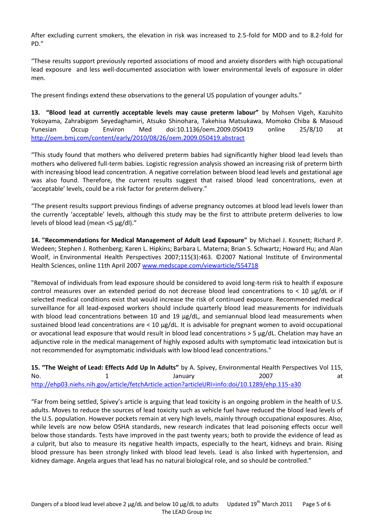After excluding current smokers, the elevation in risk was increased to 2.5-fold for MDD and to 8.2-fold for PD."

"These results support previously reported associations of mood and anxiety disorders with high occupational lead exposure and less well-documented association with lower environmental levels of exposure in older men.

The present findings extend these observations to the general US population of younger adults."

**13. "Blood lead at currently acceptable levels may cause preterm labour"** by Mohsen Vigeh, Kazuhito Yokoyama, Zahrabigom Seyedaghamiri, Atsuko Shinohara, Takehisa Matsukawa, Momoko Chiba & Masoud Yunesian Occup Environ Med doi:10.1136/oem.2009.050419 online 25/8/10 at <http://oem.bmj.com/content/early/2010/08/26/oem.2009.050419.abstract>

"This study found that mothers who delivered preterm babies had significantly higher blood lead levels than mothers who delivered full-term babies. Logistic regression analysis showed an increasing risk of preterm birth with increasing blood lead concentration. A negative correlation between blood lead levels and gestational age was also found. Therefore, the current results suggest that raised blood lead concentrations, even at 'acceptable' levels, could be a risk factor for preterm delivery."

"The present results support previous findings of adverse pregnancy outcomes at blood lead levels lower than the currently 'acceptable' levels, although this study may be the first to attribute preterm deliveries to low levels of blood lead (mean <5 µg/dl)."

**14. "Recommendations for Medical Management of Adult Lead Exposure"** by Michael J. Kosnett; Richard P. Wedeen; Stephen J. Rothenberg; Karen L. Hipkins; Barbara L. Materna; Brian S. Schwartz; Howard Hu; and Alan Woolf, in Environmental Health Perspectives 2007;115(3):463. ©2007 National Institute of Environmental Health Sciences, online 11th April 200[7 www.medscape.com/viewarticle/554718](http://www.medscape.com/viewarticle/554718)

"Removal of individuals from lead exposure should be considered to avoid long-term risk to health if exposure control measures over an extended period do not decrease blood lead concentrations to  $< 10 \mu g/dL$  or if selected medical conditions exist that would increase the risk of continued exposure. Recommended medical surveillance for all lead-exposed workers should include quarterly blood lead measurements for individuals with blood lead concentrations between 10 and 19 µg/dL, and semiannual blood lead measurements when sustained blood lead concentrations are < 10 µg/dL. It is advisable for pregnant women to avoid occupational or avocational lead exposure that would result in blood lead concentrations > 5 µg/dL. Chelation may have an adjunctive role in the medical management of highly exposed adults with symptomatic lead intoxication but is not recommended for asymptomatic individuals with low blood lead concentrations."

**15. "The Weight of Lead: Effects Add Up In Adults"** by A. Spivey, Environmental Health Perspectives Vol 115, No. 1 1 January 2007 at <http://ehp03.niehs.nih.gov/article/fetchArticle.action?articleURI=info:doi/10.1289/ehp.115-a30>

"Far from being settled, Spivey's article is arguing that lead toxicity is an ongoing problem in the health of U.S. adults. Moves to reduce the sources of lead toxicity such as vehicle fuel have reduced the blood lead levels of the U.S. population. However pockets remain at very high levels, mainly through occupational exposures. Also, while levels are now below OSHA standards, new research indicates that lead poisoning effects occur well below those standards. Tests have improved in the past twenty years; both to provide the evidence of lead as a culprit, but also to measure its negative health impacts, especially to the heart, kidneys and brain. Rising blood pressure has been strongly linked with blood lead levels. Lead is also linked with hypertension, and kidney damage. Angela argues that lead has no natural biological role, and so should be controlled."